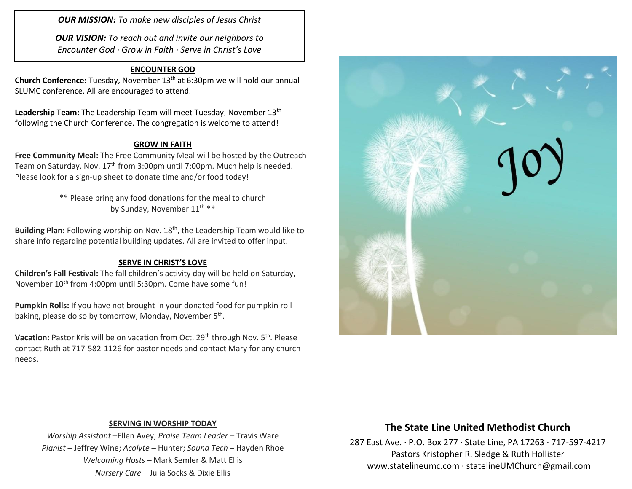*OUR MISSION: To make new disciples of Jesus Christ*

*OUR VISION: To reach out and invite our neighbors to Encounter God · Grow in Faith · Serve in Christ's Love*

### **ENCOUNTER GOD**

**Church Conference:** Tuesday, November 13th at 6:30pm we will hold our annual SLUMC conference. All are encouraged to attend.

Leadership Team: The Leadership Team will meet Tuesday, November 13<sup>th</sup> following the Church Conference. The congregation is welcome to attend!

### **GROW IN FAITH**

**Free Community Meal:** The Free Community Meal will be hosted by the Outreach Team on Saturday, Nov. 17<sup>th</sup> from 3:00pm until 7:00pm. Much help is needed. Please look for a sign-up sheet to donate time and/or food today!

> \*\* Please bring any food donations for the meal to church by Sunday, November 11<sup>th</sup> \*\*

Building Plan: Following worship on Nov. 18<sup>th</sup>, the Leadership Team would like to share info regarding potential building updates. All are invited to offer input.

### **SERVE IN CHRIST'S LOVE**

**Children's Fall Festival:** The fall children's activity day will be held on Saturday, November 10<sup>th</sup> from 4:00pm until 5:30pm. Come have some fun!

**Pumpkin Rolls:** If you have not brought in your donated food for pumpkin roll baking, please do so by tomorrow, Monday, November 5<sup>th</sup>.

**Vacation:** Pastor Kris will be on vacation from Oct. 29<sup>th</sup> through Nov. 5<sup>th</sup>. Please contact Ruth at 717-582-1126 for pastor needs and contact Mary for any church needs.



### **SERVING IN WORSHIP TODAY**

*Worship Assistant* –Ellen Avey; *Praise Team Leader* – Travis Ware *Pianist* – Jeffrey Wine; *Acolyte* – Hunter; *Sound Tech* – Hayden Rhoe *Welcoming Hosts* – Mark Semler & Matt Ellis *Nursery Care* – Julia Socks & Dixie Ellis

## **The State Line United Methodist Church**

287 East Ave. · P.O. Box 277 · State Line, PA 17263 · 717-597-4217 Pastors Kristopher R. Sledge & Ruth Hollister [www.statelineumc.com](http://www.statelineumc.com/) · statelineUMChurch@gmail.com